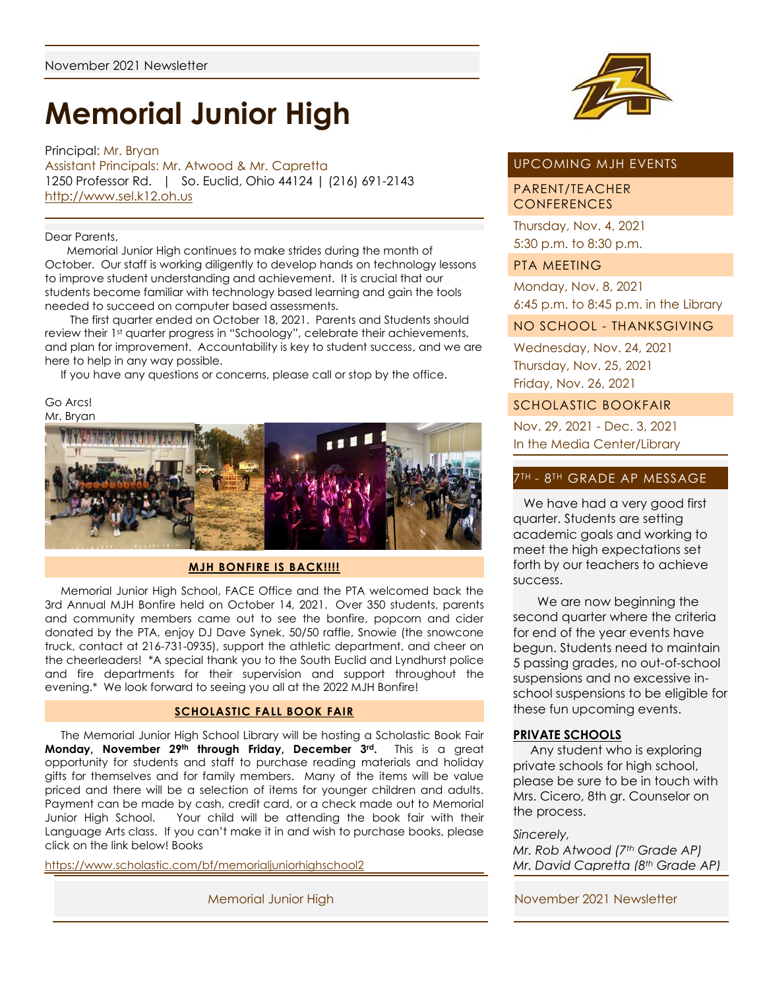# **Memorial Junior High**

Principal: Mr. Bryan Assistant Principals: Mr. Atwood & Mr. Capretta 1250 Professor Rd. | So. Euclid, Ohio 44124 | (216) 691-2143 [http://www.sel.k12.oh.us](http://www.sel.k12.oh.us/)

#### Dear Parents,

 Memorial Junior High continues to make strides during the month of October. Our staff is working diligently to develop hands on technology lessons to improve student understanding and achievement. It is crucial that our students become familiar with technology based learning and gain the tools needed to succeed on computer based assessments.

 The first quarter ended on October 18, 2021. Parents and Students should review their 1<sup>st</sup> quarter progress in "Schoology", celebrate their achievements, and plan for improvement. Accountability is key to student success, and we are here to help in any way possible.

If you have any questions or concerns, please call or stop by the office.

Go Arcs! Mr. Bryan



### **MJH BONFIRE IS BACK!!!!**

 Memorial Junior High School, FACE Office and the PTA welcomed back the 3rd Annual MJH Bonfire held on October 14, 2021. Over 350 students, parents and community members came out to see the bonfire, popcorn and cider donated by the PTA, enjoy DJ Dave Synek, 50/50 raffle, Snowie (the snowcone truck, contact at 216-731-0935), support the athletic department, and cheer on the cheerleaders! \*A special thank you to the South Euclid and Lyndhurst police and fire departments for their supervision and support throughout the evening.\* We look forward to seeing you all at the 2022 MJH Bonfire!

#### **SCHOLASTIC FALL BOOK FAIR**

 The Memorial Junior High School Library will be hosting a Scholastic Book Fair **Monday, November 29th through Friday, December 3rd.** This is a great opportunity for students and staff to purchase reading materials and holiday gifts for themselves and for family members. Many of the items will be value priced and there will be a selection of items for younger children and adults. Payment can be made by cash, credit card, or a check made out to Memorial Junior High School. Your child will be attending the book fair with their Language Arts class. If you can't make it in and wish to purchase books, please click on the link below! Books

<https://www.scholastic.com/bf/memorialjuniorhighschool2>



# UPCOMING MJH EVENTS

## PARENT/TEACHER **CONFERENCES**

Thursday, Nov. 4, 2021 5:30 p.m. to 8:30 p.m.

## PTA MEETING

Monday, Nov. 8, 2021 6:45 p.m. to 8:45 p.m. in the Library

# NO SCHOOL - THANKSGIVING

Wednesday, Nov. 24, 2021 Thursday, Nov. 25, 2021 Friday, Nov. 26, 2021

## SCHOLASTIC BOOKFAIR

Nov. 29, 2021 - Dec. 3, 2021 In the Media Center/Library

### 7TH - 8TH GRADE AP MESSAGE

 We have had a very good first quarter. Students are setting academic goals and working to meet the high expectations set forth by our teachers to achieve success.

 We are now beginning the second quarter where the criteria for end of the year events have begun. Students need to maintain 5 passing grades, no out-of-school suspensions and no excessive inschool suspensions to be eligible for these fun upcoming events.

### **PRIVATE SCHOOLS**

 Any student who is exploring private schools for high school, please be sure to be in touch with Mrs. Cicero, 8th gr. Counselor on the process.

#### *Sincerely,*

*Mr. Rob Atwood (7th Grade AP) Mr. David Capretta (8th Grade AP)*

Memorial Junior High November 2021 Newsletter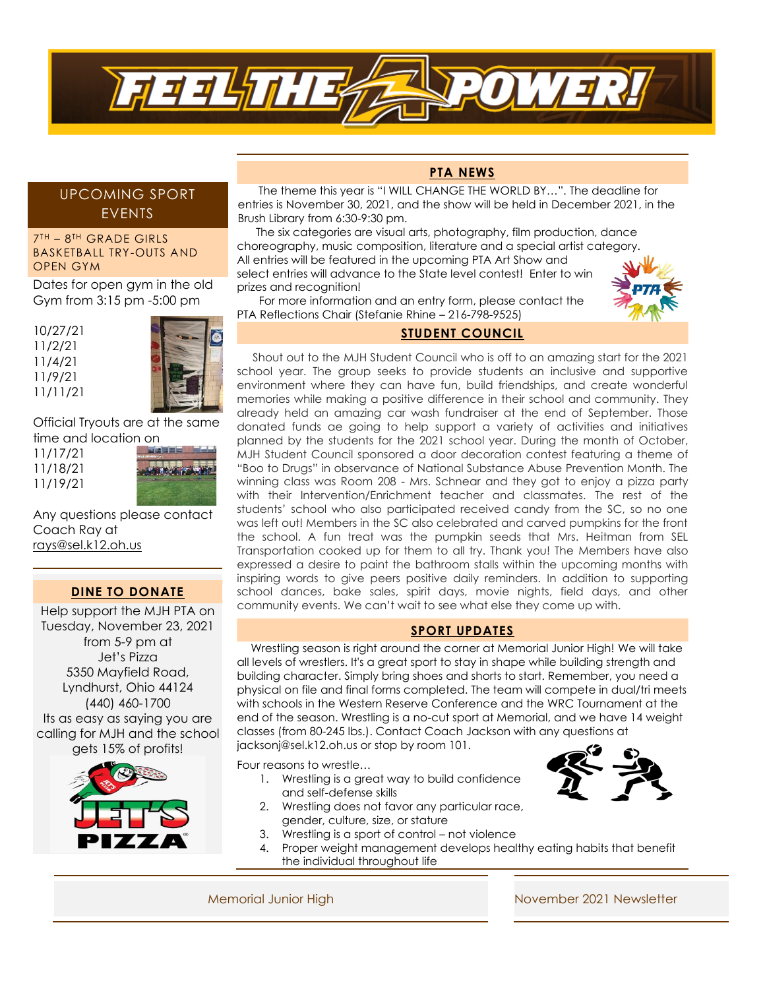

# UPCOMING SPORT EVENTS

#### 7 TH – 8 TH GRADE GIRLS BASKETBALL TRY-OUTS AND OPEN GYM

Dates for open gym in the old Gym from 3:15 pm -5:00 pm

10/27/21 11/2/21 11/4/21 11/9/21 11/11/21



Official Tryouts are at the same time and location on

| 11/17/21 |
|----------|
| 11/18/21 |
| 11/19/21 |



Any questions please contact Coach Ray at [rays@sel.k12.oh.us](mailto:rays@sel.k12.oh.us)

# **DINE TO DONATE**

Help support the MJH PTA on Tuesday, November 23, 2021 from 5-9 pm at Jet's Pizza 5350 Mayfield Road, Lyndhurst, Ohio 44124 (440) 460-1700 Its as easy as saying you are calling for MJH and the school gets 15% of profits!



## **PTA NEWS**

 The theme this year is "I WILL CHANGE THE WORLD BY…". The deadline for entries is November 30, 2021, and the show will be held in December 2021, in the Brush Library from 6:30-9:30 pm.

 The six categories are visual arts, photography, film production, dance choreography, music composition, literature and a special artist category. All entries will be featured in the upcoming PTA Art Show and select entries will advance to the State level contest! Enter to win prizes and recognition!



 For more information and an entry form, please contact the PTA Reflections Chair (Stefanie Rhine – 216-798-9525)

# **STUDENT COUNCIL**

 Shout out to the MJH Student Council who is off to an amazing start for the 2021 school year. The group seeks to provide students an inclusive and supportive environment where they can have fun, build friendships, and create wonderful memories while making a positive difference in their school and community. They already held an amazing car wash fundraiser at the end of September. Those donated funds ae going to help support a variety of activities and initiatives planned by the students for the 2021 school year. During the month of October, MJH Student Council sponsored a door decoration contest featuring a theme of "Boo to Drugs" in observance of National Substance Abuse Prevention Month. The winning class was Room 208 - Mrs. Schnear and they got to enjoy a pizza party with their Intervention/Enrichment teacher and classmates. The rest of the students' school who also participated received candy from the SC, so no one was left out! Members in the SC also celebrated and carved pumpkins for the front the school. A fun treat was the pumpkin seeds that Mrs. Heitman from SEL Transportation cooked up for them to all try. Thank you! The Members have also expressed a desire to paint the bathroom stalls within the upcoming months with inspiring words to give peers positive daily reminders. In addition to supporting school dances, bake sales, spirit days, movie nights, field days, and other community events. We can't wait to see what else they come up with.

#### **SPORT UPDATES**

 Wrestling season is right around the corner at Memorial Junior High! We will take all levels of wrestlers. It's a great sport to stay in shape while building strength and building character. Simply bring shoes and shorts to start. Remember, you need a physical on file and final forms completed. The team will compete in dual/tri meets with schools in the Western Reserve Conference and the WRC Tournament at the end of the season. Wrestling is a no-cut sport at Memorial, and we have 14 weight classes (from 80-245 lbs.). Contact Coach Jackson with any questions at jacksonj@sel.k12.oh.us or stop by room 101.

Four reasons to wrestle…

- 1. Wrestling is a great way to build confidence and self-defense skills
- 2. Wrestling does not favor any particular race, gender, culture, size, or stature
- 3. Wrestling is a sport of control not violence
- 4. Proper weight management develops healthy eating habits that benefit the individual throughout life